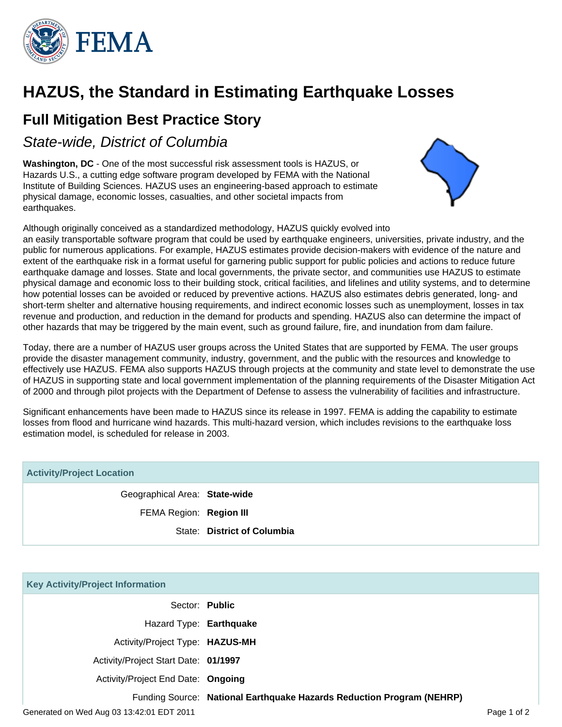

# **HAZUS, the Standard in Estimating Earthquake Losses**

## **Full Mitigation Best Practice Story**

State-wide, District of Columbia

**Washington, DC** - One of the most successful risk assessment tools is HAZUS, or Hazards U.S., a cutting edge software program developed by FEMA with the National Institute of Building Sciences. HAZUS uses an engineering-based approach to estimate physical damage, economic losses, casualties, and other societal impacts from earthquakes.



Although originally conceived as a standardized methodology, HAZUS quickly evolved into an easily transportable software program that could be used by earthquake engineers, universities, private industry, and the public for numerous applications. For example, HAZUS estimates provide decision-makers with evidence of the nature and extent of the earthquake risk in a format useful for garnering public support for public policies and actions to reduce future earthquake damage and losses. State and local governments, the private sector, and communities use HAZUS to estimate physical damage and economic loss to their building stock, critical facilities, and lifelines and utility systems, and to determine how potential losses can be avoided or reduced by preventive actions. HAZUS also estimates debris generated, long- and short-term shelter and alternative housing requirements, and indirect economic losses such as unemployment, losses in tax revenue and production, and reduction in the demand for products and spending. HAZUS also can determine the impact of other hazards that may be triggered by the main event, such as ground failure, fire, and inundation from dam failure.

Today, there are a number of HAZUS user groups across the United States that are supported by FEMA. The user groups provide the disaster management community, industry, government, and the public with the resources and knowledge to effectively use HAZUS. FEMA also supports HAZUS through projects at the community and state level to demonstrate the use of HAZUS in supporting state and local government implementation of the planning requirements of the Disaster Mitigation Act of 2000 and through pilot projects with the Department of Defense to assess the vulnerability of facilities and infrastructure.

Significant enhancements have been made to HAZUS since its release in 1997. FEMA is adding the capability to estimate losses from flood and hurricane wind hazards. This multi-hazard version, which includes revisions to the earthquake loss estimation model, is scheduled for release in 2003.

| <b>Activity/Project Location</b> |                             |
|----------------------------------|-----------------------------|
| Geographical Area: State-wide    |                             |
| FEMA Region: Region III          |                             |
|                                  | State: District of Columbia |

| <b>Key Activity/Project Information</b>   |                                                                       |             |
|-------------------------------------------|-----------------------------------------------------------------------|-------------|
|                                           | Sector: Public                                                        |             |
| Hazard Type: Earthquake                   |                                                                       |             |
| Activity/Project Type: HAZUS-MH           |                                                                       |             |
| Activity/Project Start Date: 01/1997      |                                                                       |             |
| Activity/Project End Date: Ongoing        |                                                                       |             |
|                                           | Funding Source: National Earthquake Hazards Reduction Program (NEHRP) |             |
| Generated on Wed Aug 03 13:42:01 EDT 2011 |                                                                       | Page 1 of 2 |